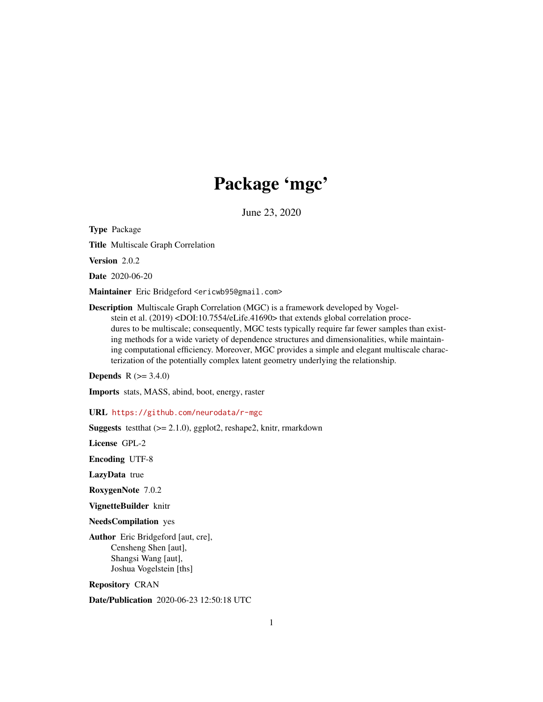# Package 'mgc'

June 23, 2020

<span id="page-0-0"></span>Type Package

Title Multiscale Graph Correlation

Version 2.0.2

Date 2020-06-20

Maintainer Eric Bridgeford <ericwb95@gmail.com>

Description Multiscale Graph Correlation (MGC) is a framework developed by Vogelstein et al. (2019) <DOI:10.7554/eLife.41690> that extends global correlation procedures to be multiscale; consequently, MGC tests typically require far fewer samples than existing methods for a wide variety of dependence structures and dimensionalities, while maintaining computational efficiency. Moreover, MGC provides a simple and elegant multiscale characterization of the potentially complex latent geometry underlying the relationship.

**Depends**  $R$  ( $> = 3.4.0$ )

Imports stats, MASS, abind, boot, energy, raster

URL <https://github.com/neurodata/r-mgc>

**Suggests** testthat  $(>= 2.1.0)$ , ggplot2, reshape2, knitr, rmarkdown

License GPL-2

Encoding UTF-8

LazyData true

RoxygenNote 7.0.2

VignetteBuilder knitr

NeedsCompilation yes

Author Eric Bridgeford [aut, cre], Censheng Shen [aut], Shangsi Wang [aut], Joshua Vogelstein [ths]

Repository CRAN

Date/Publication 2020-06-23 12:50:18 UTC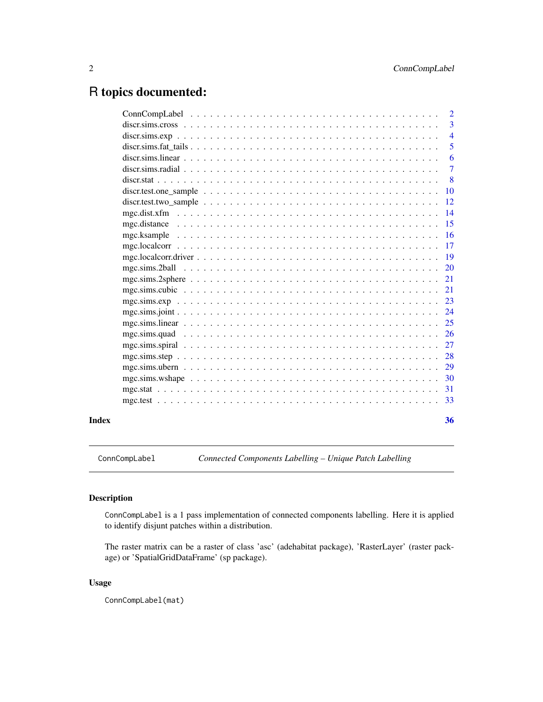# <span id="page-1-0"></span>R topics documented:

|       | $\overline{4}$ |
|-------|----------------|
|       | 5              |
|       | 6              |
|       |                |
|       | $\overline{8}$ |
|       |                |
|       |                |
|       |                |
|       |                |
|       |                |
|       |                |
|       |                |
|       |                |
|       |                |
|       |                |
|       |                |
|       |                |
|       |                |
|       |                |
|       |                |
|       |                |
|       |                |
|       |                |
|       |                |
|       |                |
| Index | 36             |

ConnCompLabel *Connected Components Labelling – Unique Patch Labelling*

# Description

ConnCompLabel is a 1 pass implementation of connected components labelling. Here it is applied to identify disjunt patches within a distribution.

The raster matrix can be a raster of class 'asc' (adehabitat package), 'RasterLayer' (raster package) or 'SpatialGridDataFrame' (sp package).

# Usage

ConnCompLabel(mat)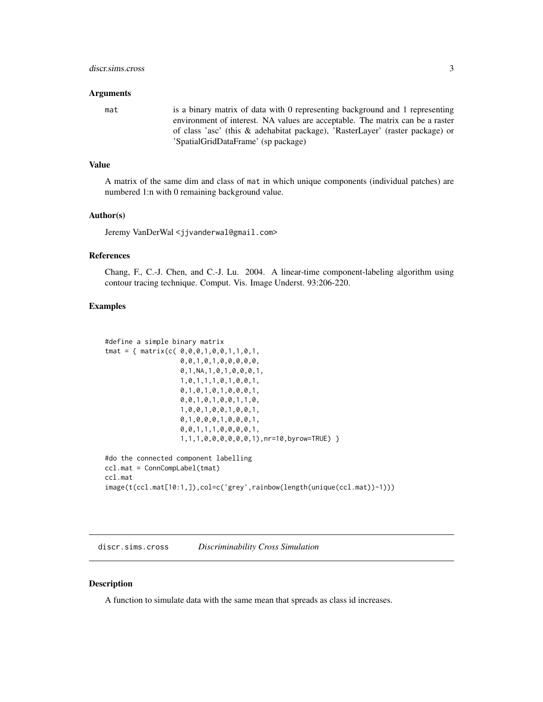#### <span id="page-2-0"></span>discr.sims.cross 3

#### Arguments

mat is a binary matrix of data with 0 representing background and 1 representing environment of interest. NA values are acceptable. The matrix can be a raster of class 'asc' (this & adehabitat package), 'RasterLayer' (raster package) or 'SpatialGridDataFrame' (sp package)

#### Value

A matrix of the same dim and class of mat in which unique components (individual patches) are numbered 1:n with 0 remaining background value.

#### Author(s)

Jeremy VanDerWal <jjvanderwal@gmail.com>

#### References

Chang, F., C.-J. Chen, and C.-J. Lu. 2004. A linear-time component-labeling algorithm using contour tracing technique. Comput. Vis. Image Underst. 93:206-220.

#### Examples

```
#define a simple binary matrix
tmat = { matrix(c( 0,0,0,1,0,0,1,1,0,1,
                   0,0,1,0,1,0,0,0,0,0,
                   0,1,NA,1,0,1,0,0,0,1,
                   1,0,1,1,1,0,1,0,0,1,
                   0,1,0,1,0,1,0,0,0,1,
                   0,0,1,0,1,0,0,1,1,0,
                   1,0,0,1,0,0,1,0,0,1,
                   0,1,0,0,0,1,0,0,0,1,
                   0,0,1,1,1,0,0,0,0,1,
                   1,1,1,0,0,0,0,0,0,1),nr=10,byrow=TRUE) }
#do the connected component labelling
ccl.mat = ConnCompLabel(tmat)
ccl.mat
image(t(ccl.mat[10:1,]),col=c('grey',rainbow(length(unique(ccl.mat))-1)))
```
discr.sims.cross *Discriminability Cross Simulation*

#### Description

A function to simulate data with the same mean that spreads as class id increases.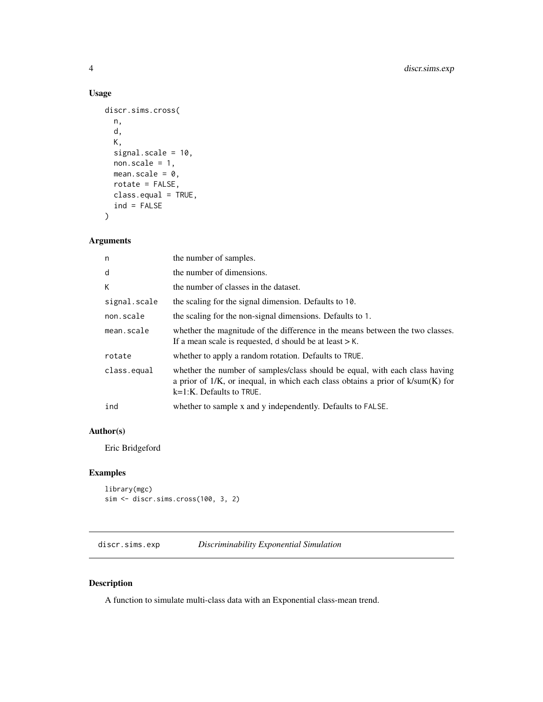# <span id="page-3-0"></span>Usage

```
discr.sims.cross(
  n,
  d,
 K,
  signal.scale = 10,
  non-scale = 1,mean.scale = 0,
  rotate = FALSE,
  class.equal = TRUE,
  ind = FALSE\mathcal{L}
```
# Arguments

| n            | the number of samples.                                                                                                                                                                             |
|--------------|----------------------------------------------------------------------------------------------------------------------------------------------------------------------------------------------------|
| d            | the number of dimensions.                                                                                                                                                                          |
| K            | the number of classes in the dataset.                                                                                                                                                              |
| signal.scale | the scaling for the signal dimension. Defaults to 10.                                                                                                                                              |
| non.scale    | the scaling for the non-signal dimensions. Defaults to 1.                                                                                                                                          |
| mean.scale   | whether the magnitude of the difference in the means between the two classes.<br>If a mean scale is requested, d should be at least $>$ K.                                                         |
| rotate       | whether to apply a random rotation. Defaults to TRUE.                                                                                                                                              |
| class.equal  | whether the number of samples/class should be equal, with each class having<br>a prior of $1/K$ , or inequal, in which each class obtains a prior of $k/sum(K)$ for<br>$k=1:K$ . Defaults to TRUE. |
| ind          | whether to sample x and y independently. Defaults to FALSE.                                                                                                                                        |
|              |                                                                                                                                                                                                    |

# Author(s)

Eric Bridgeford

# Examples

```
library(mgc)
sim <- discr.sims.cross(100, 3, 2)
```
discr.sims.exp *Discriminability Exponential Simulation*

# Description

A function to simulate multi-class data with an Exponential class-mean trend.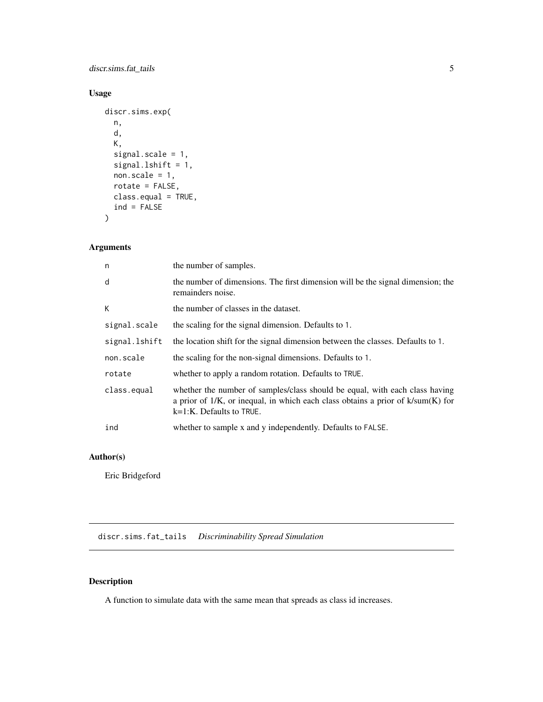<span id="page-4-0"></span>discr.sims.fat\_tails 5

# Usage

```
discr.sims.exp(
 n,
 d,
 K,
  signal.scale = 1,
 signal.lshift = 1,
 non-scale = 1,rotate = FALSE,
 class.equal = TRUE,
  ind = FALSE)
```
# Arguments

| n             | the number of samples.                                                                                                                                                                             |
|---------------|----------------------------------------------------------------------------------------------------------------------------------------------------------------------------------------------------|
| d             | the number of dimensions. The first dimension will be the signal dimension; the<br>remainders noise.                                                                                               |
| K             | the number of classes in the dataset.                                                                                                                                                              |
| signal.scale  | the scaling for the signal dimension. Defaults to 1.                                                                                                                                               |
| signal.lshift | the location shift for the signal dimension between the classes. Defaults to 1.                                                                                                                    |
| non.scale     | the scaling for the non-signal dimensions. Defaults to 1.                                                                                                                                          |
| rotate        | whether to apply a random rotation. Defaults to TRUE.                                                                                                                                              |
| class.equal   | whether the number of samples/class should be equal, with each class having<br>a prior of $1/K$ , or inequal, in which each class obtains a prior of $k/sum(K)$ for<br>$k=1:K$ . Defaults to TRUE. |
| ind           | whether to sample x and y independently. Defaults to FALSE.                                                                                                                                        |

# Author(s)

Eric Bridgeford

discr.sims.fat\_tails *Discriminability Spread Simulation*

# Description

A function to simulate data with the same mean that spreads as class id increases.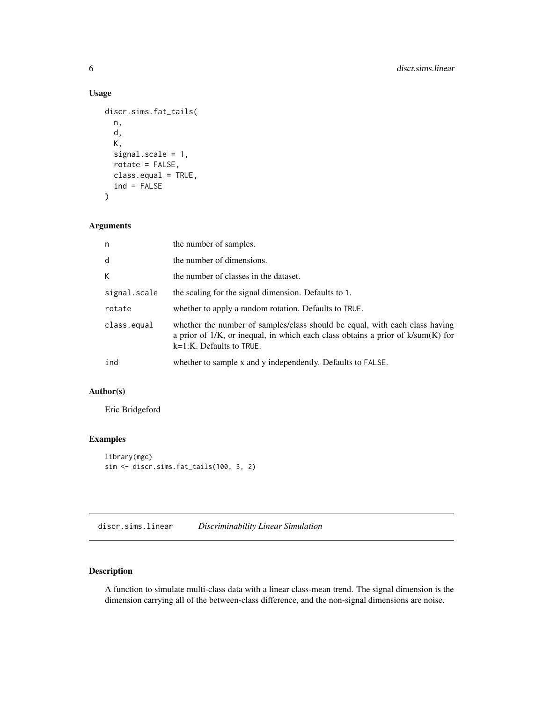#### Usage

```
discr.sims.fat_tails(
 n,
  d,
 K,
  signal.scale = 1,
  rotate = FALSE,
  class.equal = TRUE,
  ind = FALSE)
```
# Arguments

| n            | the number of samples.                                                                                                                                                                             |
|--------------|----------------------------------------------------------------------------------------------------------------------------------------------------------------------------------------------------|
| d            | the number of dimensions.                                                                                                                                                                          |
| K            | the number of classes in the dataset.                                                                                                                                                              |
| signal.scale | the scaling for the signal dimension. Defaults to 1.                                                                                                                                               |
| rotate       | whether to apply a random rotation. Defaults to TRUE.                                                                                                                                              |
| class.equal  | whether the number of samples/class should be equal, with each class having<br>a prior of $1/K$ , or inequal, in which each class obtains a prior of $k/sum(K)$ for<br>$k=1:K$ . Defaults to TRUE. |
| ind          | whether to sample x and y independently. Defaults to FALSE.                                                                                                                                        |

# Author(s)

Eric Bridgeford

# Examples

```
library(mgc)
sim <- discr.sims.fat_tails(100, 3, 2)
```
discr.sims.linear *Discriminability Linear Simulation*

# Description

A function to simulate multi-class data with a linear class-mean trend. The signal dimension is the dimension carrying all of the between-class difference, and the non-signal dimensions are noise.

<span id="page-5-0"></span>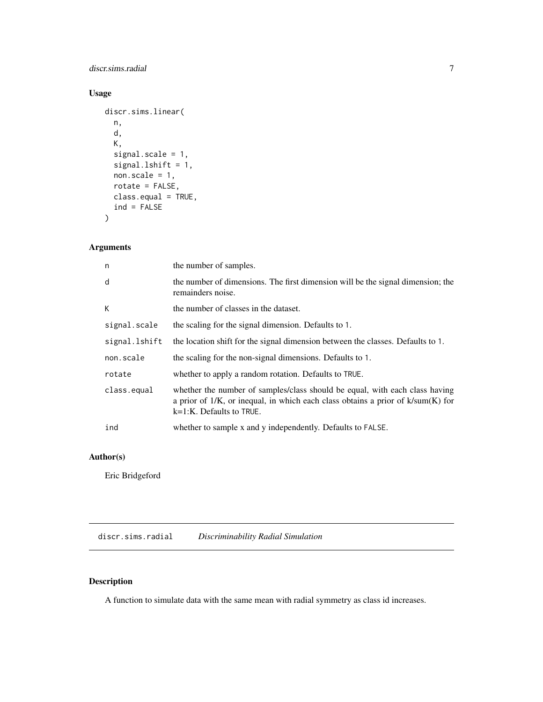# <span id="page-6-0"></span>discr.sims.radial 7

# Usage

```
discr.sims.linear(
 n,
 d,
 K,
  signal.scale = 1,
 signal.lshift = 1,
 non-scale = 1,rotate = FALSE,
 class.equal = TRUE,
  ind = FALSE)
```
# Arguments

| n             | the number of samples.                                                                                                                                                                             |
|---------------|----------------------------------------------------------------------------------------------------------------------------------------------------------------------------------------------------|
| d             | the number of dimensions. The first dimension will be the signal dimension; the<br>remainders noise.                                                                                               |
| K.            | the number of classes in the dataset.                                                                                                                                                              |
| signal.scale  | the scaling for the signal dimension. Defaults to 1.                                                                                                                                               |
| signal.lshift | the location shift for the signal dimension between the classes. Defaults to 1.                                                                                                                    |
| non.scale     | the scaling for the non-signal dimensions. Defaults to 1.                                                                                                                                          |
| rotate        | whether to apply a random rotation. Defaults to TRUE.                                                                                                                                              |
| class.equal   | whether the number of samples/class should be equal, with each class having<br>a prior of $1/K$ , or inequal, in which each class obtains a prior of $k/sum(K)$ for<br>$k=1:K$ . Defaults to TRUE. |
| ind           | whether to sample x and y independently. Defaults to FALSE.                                                                                                                                        |

# Author(s)

Eric Bridgeford

discr.sims.radial *Discriminability Radial Simulation*

# Description

A function to simulate data with the same mean with radial symmetry as class id increases.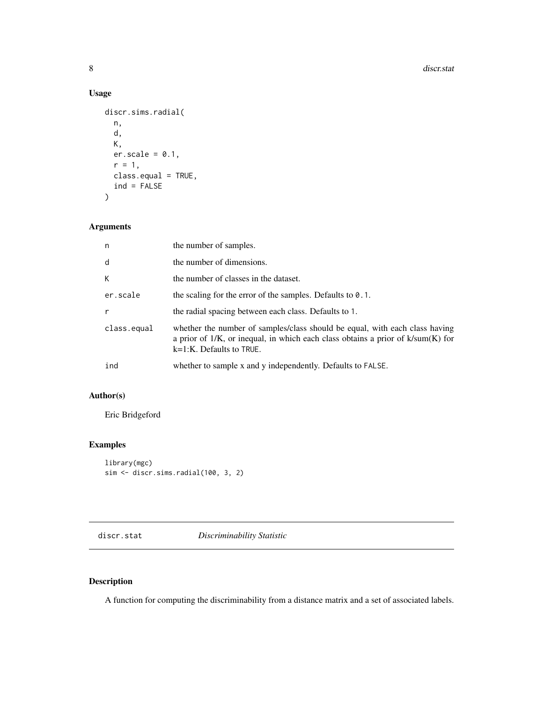# Usage

```
discr.sims.radial(
 n,
 d,
 K,
 er.scale = 0.1,
 r = 1,
 class.equal = TRUE,
  ind = FALSE)
```
# Arguments

| n           | the number of samples.                                                                                                                                                                             |
|-------------|----------------------------------------------------------------------------------------------------------------------------------------------------------------------------------------------------|
| d           | the number of dimensions.                                                                                                                                                                          |
| K           | the number of classes in the dataset.                                                                                                                                                              |
| er.scale    | the scaling for the error of the samples. Defaults to $0.1$ .                                                                                                                                      |
| r           | the radial spacing between each class. Defaults to 1.                                                                                                                                              |
| class.equal | whether the number of samples/class should be equal, with each class having<br>a prior of $1/K$ , or inequal, in which each class obtains a prior of $k/sum(K)$ for<br>$k=1:K$ . Defaults to TRUE. |
| ind         | whether to sample x and y independently. Defaults to FALSE.                                                                                                                                        |

# Author(s)

Eric Bridgeford

# Examples

```
library(mgc)
sim <- discr.sims.radial(100, 3, 2)
```
discr.stat *Discriminability Statistic*

# Description

A function for computing the discriminability from a distance matrix and a set of associated labels.

<span id="page-7-0"></span>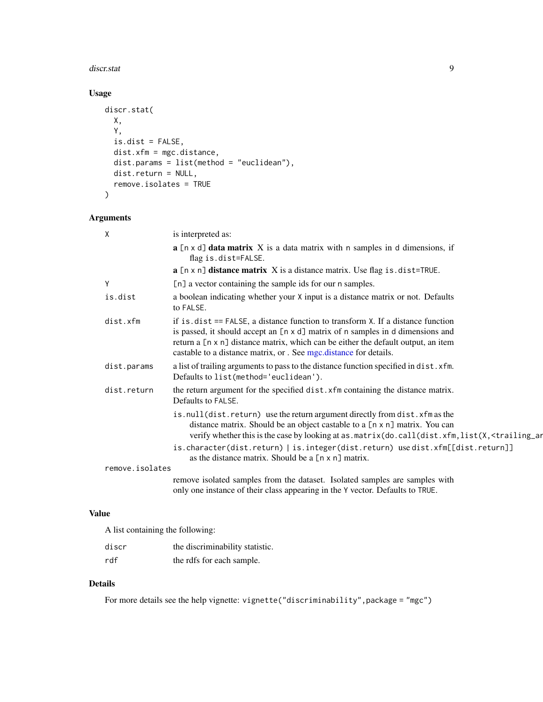#### <span id="page-8-0"></span>discr.stat 9

# Usage

```
discr.stat(
 X,
 Y,
 is.dist = FALSE,
 dist.xfm = mgc.distance,
 dist.params = list(method = "euclidean"),
 dist.return = NULL,
 remove.isolates = TRUE
)
```
# Arguments

| $\mathsf{X}$    | is interpreted as:                                                                                                                                                                                                                                                                                                               |
|-----------------|----------------------------------------------------------------------------------------------------------------------------------------------------------------------------------------------------------------------------------------------------------------------------------------------------------------------------------|
|                 | $a$ [n x d] data matrix X is a data matrix with n samples in d dimensions, if<br>flag is.dist=FALSE.                                                                                                                                                                                                                             |
|                 | $a$ [n x n] distance matrix $X$ is a distance matrix. Use flag is dist=TRUE.                                                                                                                                                                                                                                                     |
| Y               | [n] a vector containing the sample ids for our n samples.                                                                                                                                                                                                                                                                        |
| is.dist         | a boolean indicating whether your X input is a distance matrix or not. Defaults<br>to FALSE.                                                                                                                                                                                                                                     |
| dist.xfm        | if is $dist ==$ FALSE, a distance function to transform $X$ . If a distance function<br>is passed, it should accept an [n x d] matrix of n samples in d dimensions and<br>return a [n x n] distance matrix, which can be either the default output, an item<br>castable to a distance matrix, or . See mgc.distance for details. |
| dist.params     | a list of trailing arguments to pass to the distance function specified in dist. xfm.<br>Defaults to list(method='euclidean').                                                                                                                                                                                                   |
| dist.return     | the return argument for the specified dist. xfm containing the distance matrix.<br>Defaults to FALSE.                                                                                                                                                                                                                            |
|                 | is.null(dist.return) use the return argument directly from dist.xfm as the<br>distance matrix. Should be an object castable to a [n x n] matrix. You can<br>verify whether this is the case by looking at as . matrix (do. call(dist. xfm, list(X, <trailing_ar< td=""></trailing_ar<>                                           |
|                 | is.character(dist.return)   is.integer(dist.return) use dist.xfm[[dist.return]]<br>as the distance matrix. Should be a [n x n] matrix.                                                                                                                                                                                           |
| remove.isolates |                                                                                                                                                                                                                                                                                                                                  |
|                 | remove isolated samples from the dataset. Isolated samples are samples with<br>only one instance of their class appearing in the Y vector. Defaults to TRUE.                                                                                                                                                                     |

# Value

A list containing the following:

| discr | the discriminability statistic. |
|-------|---------------------------------|
| rdf   | the rdfs for each sample.       |

# Details

For more details see the help vignette: vignette("discriminability",package = "mgc")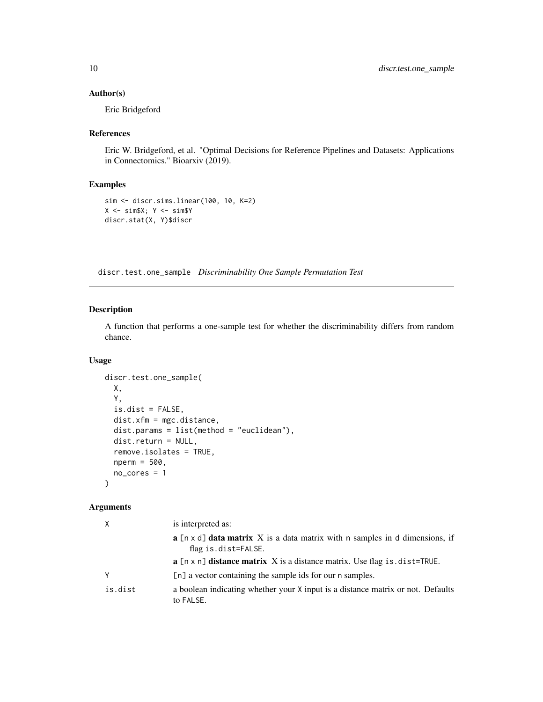#### <span id="page-9-0"></span>Author(s)

Eric Bridgeford

#### References

Eric W. Bridgeford, et al. "Optimal Decisions for Reference Pipelines and Datasets: Applications in Connectomics." Bioarxiv (2019).

# Examples

```
sim <- discr.sims.linear(100, 10, K=2)
X \le -\sin \$X; Y \le -\sin \$Ydiscr.stat(X, Y)$discr
```
discr.test.one\_sample *Discriminability One Sample Permutation Test*

#### Description

A function that performs a one-sample test for whether the discriminability differs from random chance.

#### Usage

```
discr.test.one_sample(
 X,
 Y,
  is.dist = FALSE,
 dist.xfm = mgc.distance,
 dist.params = list(method = "euclidean"),
 dist.return = NULL,
  remove.isolates = TRUE,
  nperm = 500,
 no_cores = 1
)
```

| X       | is interpreted as:                                                                                                      |
|---------|-------------------------------------------------------------------------------------------------------------------------|
|         | <b>a</b> $[n \times d]$ <b>data matrix</b> X is a data matrix with n samples in d dimensions, if<br>flag is.dist=FALSE. |
|         | $\bf{a}$ [n x n] <b>distance matrix</b> X is a distance matrix. Use flag is dist=TRUE.                                  |
| γ       | [n] a vector containing the sample ids for our n samples.                                                               |
| is.dist | a boolean indicating whether your X input is a distance matrix or not. Defaults<br>to FALSE.                            |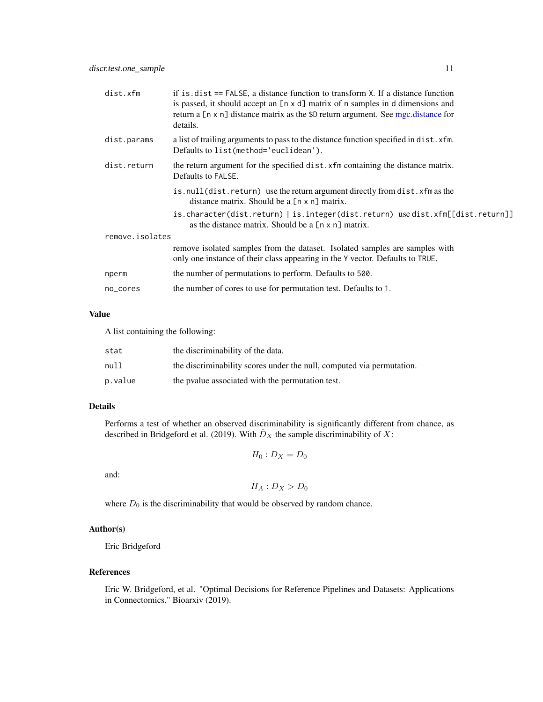<span id="page-10-0"></span>

| dist.xfm        | if is $dist ==$ FALSE, a distance function to transform $X$ . If a distance function<br>is passed, it should accept an $[n \times d]$ matrix of n samples in d dimensions and<br>return a [n x n] distance matrix as the \$D return argument. See mgc.distance for<br>details. |
|-----------------|--------------------------------------------------------------------------------------------------------------------------------------------------------------------------------------------------------------------------------------------------------------------------------|
| dist.params     | a list of trailing arguments to pass to the distance function specified in dist. xfm.<br>Defaults to list(method='euclidean').                                                                                                                                                 |
| dist.return     | the return argument for the specified dist. xfm containing the distance matrix.<br>Defaults to FALSE.                                                                                                                                                                          |
|                 | is.null(dist.return) use the return argument directly from dist.xfm as the<br>distance matrix. Should be a [n x n] matrix.                                                                                                                                                     |
|                 | is.character(dist.return)   is.integer(dist.return) use dist.xfm[[dist.return]]<br>as the distance matrix. Should be a $[n \times n]$ matrix.                                                                                                                                  |
| remove.isolates |                                                                                                                                                                                                                                                                                |
|                 | remove isolated samples from the dataset. Isolated samples are samples with<br>only one instance of their class appearing in the Y vector. Defaults to TRUE.                                                                                                                   |
| nperm           | the number of permutations to perform. Defaults to 500.                                                                                                                                                                                                                        |
| no_cores        | the number of cores to use for permutation test. Defaults to 1.                                                                                                                                                                                                                |
|                 |                                                                                                                                                                                                                                                                                |

#### Value

A list containing the following:

| stat    | the discriminability of the data.                                     |
|---------|-----------------------------------------------------------------------|
| null    | the discriminability scores under the null, computed via permutation. |
| p.value | the poulue associated with the permutation test.                      |

#### Details

Performs a test of whether an observed discriminability is significantly different from chance, as described in Bridgeford et al. (2019). With  $\hat{D}_X$  the sample discriminability of X:

$$
H_0: D_X = D_0
$$

and:

 $H_A: D_X > D_0$ 

where  $D_0$  is the discriminability that would be observed by random chance.

#### Author(s)

Eric Bridgeford

#### References

Eric W. Bridgeford, et al. "Optimal Decisions for Reference Pipelines and Datasets: Applications in Connectomics." Bioarxiv (2019).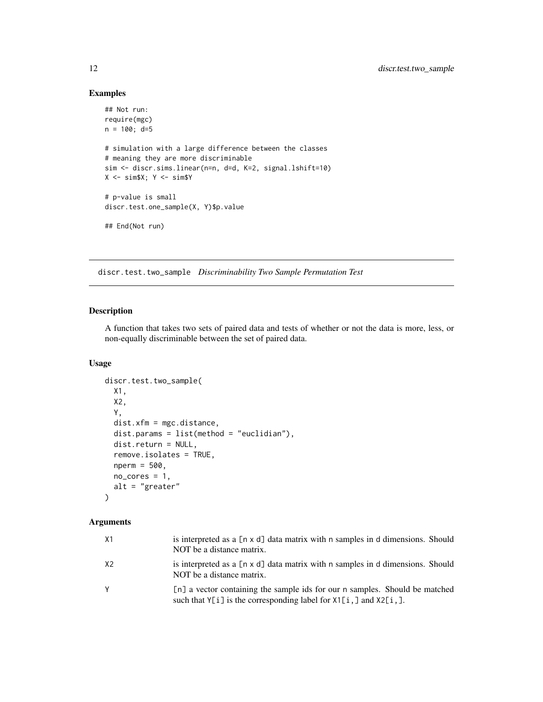#### Examples

```
## Not run:
require(mgc)
n = 100; d=5# simulation with a large difference between the classes
# meaning they are more discriminable
sim <- discr.sims.linear(n=n, d=d, K=2, signal.lshift=10)
X \le -\sin \$X; Y \le -\sin \$Y# p-value is small
discr.test.one_sample(X, Y)$p.value
## End(Not run)
```
discr.test.two\_sample *Discriminability Two Sample Permutation Test*

# Description

A function that takes two sets of paired data and tests of whether or not the data is more, less, or non-equally discriminable between the set of paired data.

# Usage

```
discr.test.two_sample(
 X1,
  X2,
  Y,
  dist.xfm = mgc.distance,
  dist.params = list(method = "euclidian"),
  dist.return = NULL,
  remove.isolates = TRUE,
  nperm = 500,
  no\_cores = 1,alt = "greater"
)
```

| X1 | is interpreted as a $[n \times d]$ data matrix with n samples in d dimensions. Should<br>NOT be a distance matrix.                                       |
|----|----------------------------------------------------------------------------------------------------------------------------------------------------------|
| X2 | is interpreted as a $[n \times d]$ data matrix with n samples in d dimensions. Should<br>NOT be a distance matrix.                                       |
|    | [n] a vector containing the sample ids for our n samples. Should be matched<br>such that $Y[i]$ is the corresponding label for $X1[i, ]$ and $X2[i, ]$ . |

<span id="page-11-0"></span>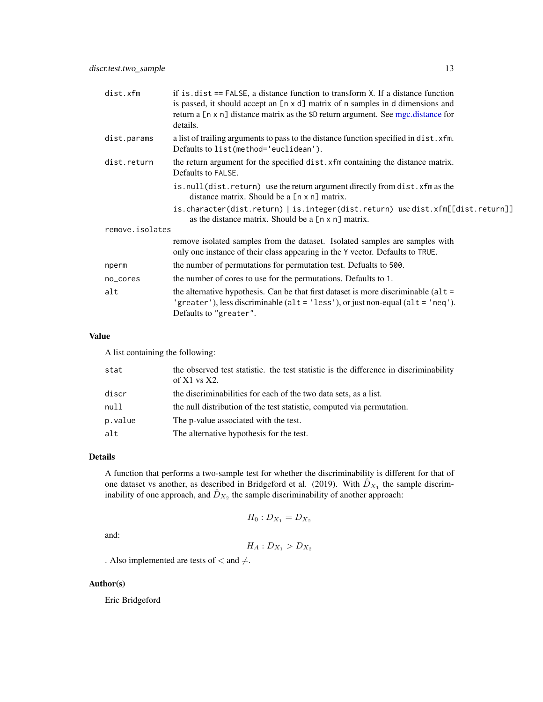<span id="page-12-0"></span>

| dist.xfm        | if is $dist ==$ FALSE, a distance function to transform $X$ . If a distance function<br>is passed, it should accept an $[n \times d]$ matrix of n samples in d dimensions and<br>return a [n x n] distance matrix as the \$D return argument. See mgc.distance for<br>details. |  |
|-----------------|--------------------------------------------------------------------------------------------------------------------------------------------------------------------------------------------------------------------------------------------------------------------------------|--|
| dist.params     | a list of trailing arguments to pass to the distance function specified in dist. xfm.<br>Defaults to list(method='euclidean').                                                                                                                                                 |  |
| dist.return     | the return argument for the specified dist. xfm containing the distance matrix.<br>Defaults to FALSE.                                                                                                                                                                          |  |
|                 | is.null(dist.return) use the return argument directly from dist.xfm as the<br>distance matrix. Should be a [n x n] matrix.                                                                                                                                                     |  |
|                 | is.character(dist.return)   is.integer(dist.return) use dist.xfm[[dist.return]]<br>as the distance matrix. Should be a $[n \times n]$ matrix.                                                                                                                                  |  |
| remove.isolates |                                                                                                                                                                                                                                                                                |  |
|                 | remove isolated samples from the dataset. Isolated samples are samples with<br>only one instance of their class appearing in the Y vector. Defaults to TRUE.                                                                                                                   |  |
| nperm           | the number of permutations for permutation test. Defualts to 500.                                                                                                                                                                                                              |  |
| no_cores        | the number of cores to use for the permutations. Defaults to 1.                                                                                                                                                                                                                |  |
| alt             | the alternative hypothesis. Can be that first dataset is more discriminable ( $alt =$<br>'greater'), less discriminable (alt = 'less'), or just non-equal (alt = 'neq').<br>Defaults to "greater".                                                                             |  |

# Value

A list containing the following:

| stat    | the observed test statistic. the test statistic is the difference in discriminability<br>of $X1$ vs $X2$ . |
|---------|------------------------------------------------------------------------------------------------------------|
| discr   | the discriminabilities for each of the two data sets, as a list.                                           |
| null    | the null distribution of the test statistic, computed via permutation.                                     |
| p.value | The p-value associated with the test.                                                                      |
| alt     | The alternative hypothesis for the test.                                                                   |

#### Details

A function that performs a two-sample test for whether the discriminability is different for that of one dataset vs another, as described in Bridgeford et al. (2019). With  $\hat{D}_{X_1}$  the sample discriminability of one approach, and  $\hat{D}_{X_2}$  the sample discriminability of another approach:

$$
H_0: D_{X_1} = D_{X_2}
$$

and:

$$
H_A: D_{X_1} > D_{X_2}
$$

. Also implemented are tests of  $<$  and  $\neq$ .

# Author(s)

Eric Bridgeford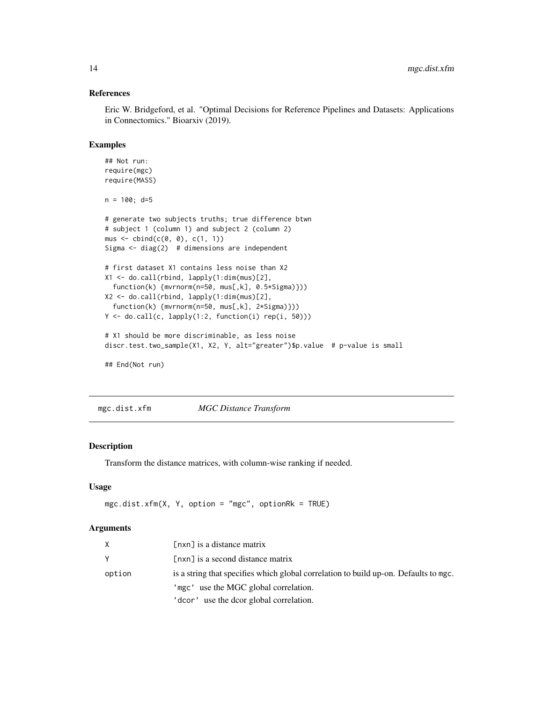#### References

Eric W. Bridgeford, et al. "Optimal Decisions for Reference Pipelines and Datasets: Applications in Connectomics." Bioarxiv (2019).

#### Examples

```
## Not run:
require(mgc)
require(MASS)
n = 100; d=5# generate two subjects truths; true difference btwn
# subject 1 (column 1) and subject 2 (column 2)
mus \leftarrow cbind(c(\emptyset, \emptyset), c(1, 1))Sigma \le diag(2) # dimensions are independent
# first dataset X1 contains less noise than X2
X1 <- do.call(rbind, lapply(1:dim(mus)[2],
  function(k) {mvrnorm(n=50, mus[,k], 0.5*Sigma)}))
X2 <- do.call(rbind, lapply(1:dim(mus)[2],
  function(k) {mvrnorm(n=50, mus[,k], 2*Sigma)}))
Y <- do.call(c, lapply(1:2, function(i) rep(i, 50)))
# X1 should be more discriminable, as less noise
discr.test.two_sample(X1, X2, Y, alt="greater")$p.value # p-value is small
## End(Not run)
```
mgc.dist.xfm *MGC Distance Transform*

#### Description

Transform the distance matrices, with column-wise ranking if needed.

# Usage

```
mgc.dist.xfm(X, Y, option = "mgc", optionRk = TRUE)
```

| X.     | $[nxn]$ is a distance matrix                                                         |
|--------|--------------------------------------------------------------------------------------|
| Y      | [nxn] is a second distance matrix                                                    |
| option | is a string that specifies which global correlation to build up-on. Defaults to mgc. |
|        | 'mgc' use the MGC global correlation.                                                |
|        | 'dcor' use the dcor global correlation.                                              |

<span id="page-13-0"></span>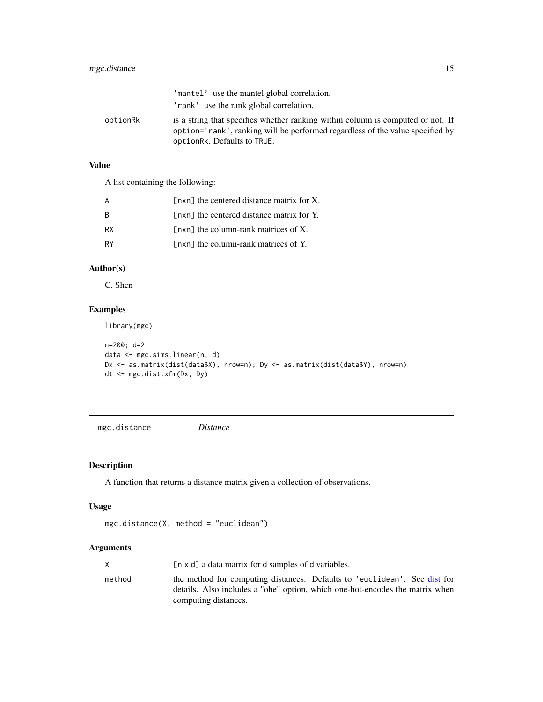# <span id="page-14-0"></span>mgc.distance 15

|          | 'mantel' use the mantel global correlation.                                                                                                                                                     |
|----------|-------------------------------------------------------------------------------------------------------------------------------------------------------------------------------------------------|
|          | 'rank' use the rank global correlation.                                                                                                                                                         |
| optionRk | is a string that specifies whether ranking within column is computed or not. If<br>option='rank', ranking will be performed regardless of the value specified by<br>optionRk. Defaults to TRUE. |

# Value

A list containing the following:

|           | $\lceil n \times n \rceil$ the centered distance matrix for X. |
|-----------|----------------------------------------------------------------|
| R         | [nxn] the centered distance matrix for Y.                      |
| <b>RX</b> | $[nxn]$ the column-rank matrices of X.                         |
| RY        | [nxn] the column-rank matrices of Y.                           |

# Author(s)

C. Shen

# Examples

library(mgc)

```
n=200; d=2
data <- mgc.sims.linear(n, d)
Dx <- as.matrix(dist(data$X), nrow=n); Dy <- as.matrix(dist(data$Y), nrow=n)
dt <- mgc.dist.xfm(Dx, Dy)
```
<span id="page-14-1"></span>mgc.distance *Distance*

# Description

A function that returns a distance matrix given a collection of observations.

# Usage

```
mgc.distance(X, method = "euclidean")
```

|        | [n x d] a data matrix for d samples of d variables.                                                                                                                               |
|--------|-----------------------------------------------------------------------------------------------------------------------------------------------------------------------------------|
| method | the method for computing distances. Defaults to 'euclidean'. See dist for<br>details. Also includes a "ohe" option, which one-hot-encodes the matrix when<br>computing distances. |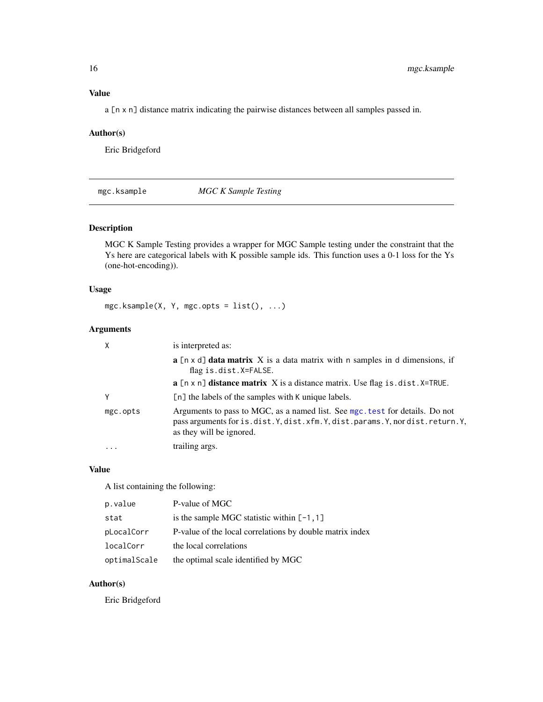# <span id="page-15-0"></span>Value

a [n x n] distance matrix indicating the pairwise distances between all samples passed in.

# Author(s)

Eric Bridgeford

mgc.ksample *MGC K Sample Testing*

# Description

MGC K Sample Testing provides a wrapper for MGC Sample testing under the constraint that the Ys here are categorical labels with K possible sample ids. This function uses a 0-1 loss for the Ys (one-hot-encoding)).

# Usage

mgc.ksample(X, Y, mgc.opts = list(), ...)

#### Arguments

|          | is interpreted as:                                                                                                                                                                  |
|----------|-------------------------------------------------------------------------------------------------------------------------------------------------------------------------------------|
|          | $\bf{a}$ [n x d] <b>data matrix</b> X is a data matrix with n samples in d dimensions, if<br>flag is.dist.X=FALSE.                                                                  |
|          | $\bf{a}$ [n x n] <b>distance matrix</b> X is a distance matrix. Use flag is dist. X=TRUE.                                                                                           |
| v        | $[n]$ the labels of the samples with K unique labels.                                                                                                                               |
| mgc.opts | Arguments to pass to MGC, as a named list. See mgc. test for details. Do not<br>pass arguments for is.dist.Y,dist.xfm.Y,dist.params.Y,nordist.return.Y,<br>as they will be ignored. |
| .        | trailing args.                                                                                                                                                                      |

#### Value

A list containing the following:

| p.value      | P-value of MGC                                           |
|--------------|----------------------------------------------------------|
| stat         | is the sample MGC statistic within $[-1, 1]$             |
| pLocalCorr   | P-value of the local correlations by double matrix index |
| localCorr    | the local correlations                                   |
| optimalScale | the optimal scale identified by MGC                      |

# Author(s)

Eric Bridgeford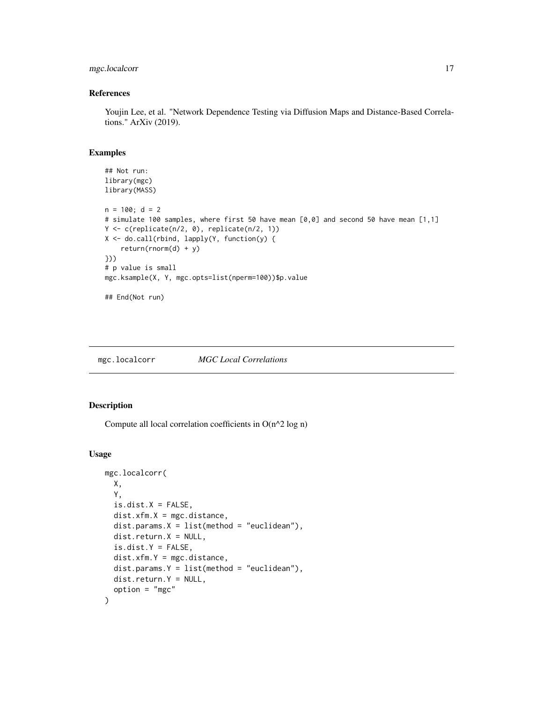# <span id="page-16-0"></span>mgc.localcorr 17

#### References

Youjin Lee, et al. "Network Dependence Testing via Diffusion Maps and Distance-Based Correlations." ArXiv (2019).

#### Examples

```
## Not run:
library(mgc)
library(MASS)
n = 100; d = 2# simulate 100 samples, where first 50 have mean [0,0] and second 50 have mean [1,1]
Y <- c(replicate(n/2, 0), replicate(n/2, 1))
X <- do.call(rbind, lapply(Y, function(y) {
    return(rnorm(d) + y)
}))
# p value is small
mgc.ksample(X, Y, mgc.opts=list(nperm=100))$p.value
## End(Not run)
```
mgc.localcorr *MGC Local Correlations*

# Description

Compute all local correlation coefficients in O(n^2 log n)

#### Usage

```
mgc.localcorr(
 X,
 Y,
 is.dist.X = FALSE,dist.xfm.X = mgc.distance,dist.params.X = list(method = "euclidean"),dist.return.X = NULL,
  is.dist.Y = FALSE,
 dist.xfm.Y = mgc.distance,
 dist.params.Y = list(method = "euclidean"),dist.return.Y = NULL,
 option = "mgc"
)
```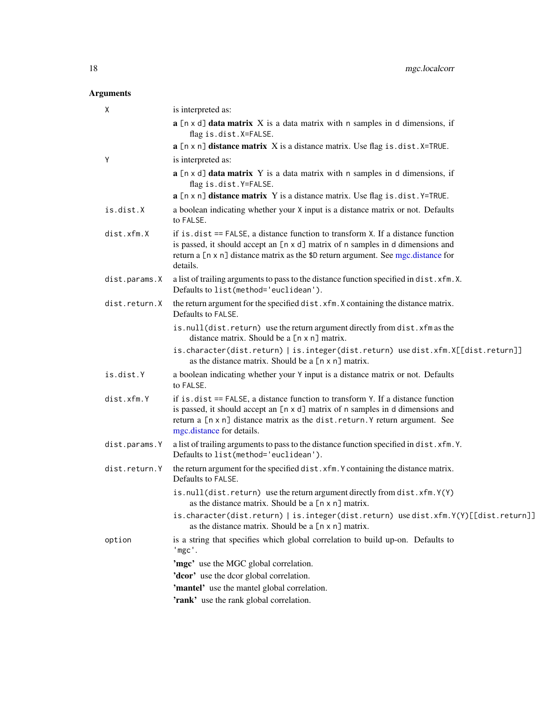<span id="page-17-0"></span>

| Χ             | is interpreted as:                                                                                                                                |
|---------------|---------------------------------------------------------------------------------------------------------------------------------------------------|
|               | $a$ [n x d] data matrix X is a data matrix with n samples in d dimensions, if<br>flag is.dist.X=FALSE.                                            |
|               | $a$ [n x n] distance matrix $X$ is a distance matrix. Use flag is . dist. X=TRUE.                                                                 |
| Y             | is interpreted as:                                                                                                                                |
|               | a [n x d] data matrix Y is a data matrix with n samples in d dimensions, if<br>flag is.dist.Y=FALSE.                                              |
|               | $a$ [n x n] distance matrix Y is a distance matrix. Use flag is . dist. Y=TRUE.                                                                   |
| is.dist.X     | a boolean indicating whether your X input is a distance matrix or not. Defaults<br>to FALSE.                                                      |
| dist.xfm.X    | if is $dist ==$ FALSE, a distance function to transform $X$ . If a distance function                                                              |
|               | is passed, it should accept an [n x d] matrix of n samples in d dimensions and                                                                    |
|               | return a [n x n] distance matrix as the \$D return argument. See mgc.distance for<br>details.                                                     |
| dist.params.X | a list of trailing arguments to pass to the distance function specified in dist. xfm.X.                                                           |
|               | Defaults to list(method='euclidean').                                                                                                             |
| dist.return.X | the return argument for the specified dist. xfm. X containing the distance matrix.<br>Defaults to FALSE.                                          |
|               | is.null(dist.return) use the return argument directly from dist.xfm as the<br>distance matrix. Should be a [n x n] matrix.                        |
|               | is.character(dist.return)   is.integer(dist.return) usedist.xfm.X[[dist.return]]<br>as the distance matrix. Should be a [n x n] matrix.           |
| is.dist.Y     | a boolean indicating whether your Y input is a distance matrix or not. Defaults<br>to FALSE.                                                      |
| dist.xfm.Y    | if is.dist == FALSE, a distance function to transform Y. If a distance function                                                                   |
|               | is passed, it should accept an [n x d] matrix of n samples in d dimensions and                                                                    |
|               | return a [n x n] distance matrix as the dist.return.Y return argument. See<br>mgc.distance for details.                                           |
| dist.params.Y | a list of trailing arguments to pass to the distance function specified in dist. xfm.Y.                                                           |
|               | Defaults to list(method='euclidean').                                                                                                             |
| dist.return.Y | the return argument for the specified dist. xfm. Y containing the distance matrix.<br>Defaults to FALSE.                                          |
|               | is.null(dist.return) use the return argument directly from dist.xfm.Y(Y)<br>as the distance matrix. Should be a [n x n] matrix.                   |
|               | is.character(dist.return)   is.integer(dist.return) usedist.xfm.Y(Y)[[dist.return]]<br>as the distance matrix. Should be a $[n \times n]$ matrix. |
| option        | is a string that specifies which global correlation to build up-on. Defaults to<br>'mgc'.                                                         |
|               | 'mgc' use the MGC global correlation.                                                                                                             |
|               | 'dcor' use the dcor global correlation.                                                                                                           |
|               | 'mantel' use the mantel global correlation.                                                                                                       |
|               | 'rank' use the rank global correlation.                                                                                                           |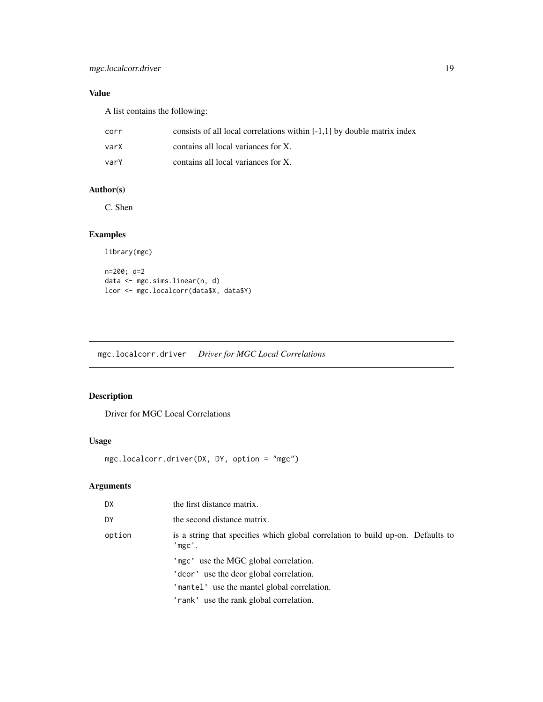# <span id="page-18-0"></span>Value

A list contains the following:

| corr | consists of all local correlations within $[-1,1]$ by double matrix index |
|------|---------------------------------------------------------------------------|
| varX | contains all local variances for X.                                       |
| varY | contains all local variances for X.                                       |

# Author(s)

C. Shen

# Examples

```
library(mgc)
n=200; d=2
data <- mgc.sims.linear(n, d)
lcor <- mgc.localcorr(data$X, data$Y)
```
mgc.localcorr.driver *Driver for MGC Local Correlations*

# Description

Driver for MGC Local Correlations

#### Usage

mgc.localcorr.driver(DX, DY, option = "mgc")

| DX.    | the first distance matrix.                                                                |
|--------|-------------------------------------------------------------------------------------------|
| DY     | the second distance matrix.                                                               |
| option | is a string that specifies which global correlation to build up-on. Defaults to<br>'mgc'. |
|        | 'mgc' use the MGC global correlation.                                                     |
|        | ' dcor' use the dcor global correlation.                                                  |
|        | 'mantel' use the mantel global correlation.                                               |
|        | 'rank' use the rank global correlation.                                                   |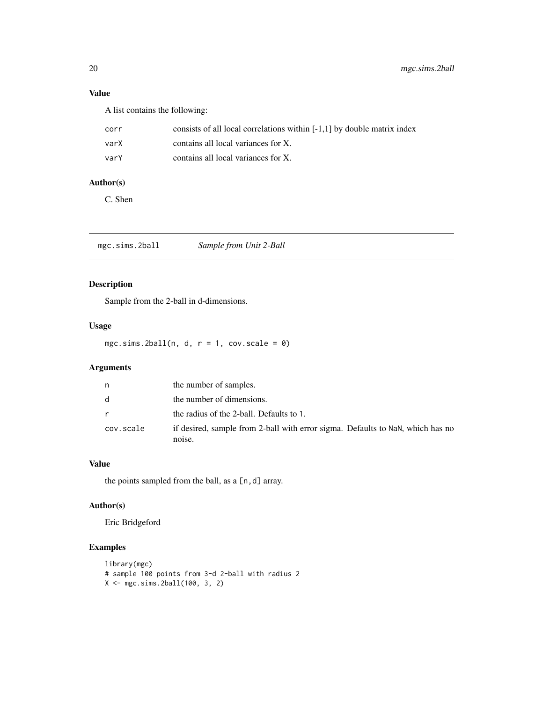# <span id="page-19-0"></span>Value

A list contains the following:

| corr | consists of all local correlations within $[-1,1]$ by double matrix index |
|------|---------------------------------------------------------------------------|
| varX | contains all local variances for X.                                       |
| varY | contains all local variances for X.                                       |

#### Author(s)

C. Shen

mgc.sims.2ball *Sample from Unit 2-Ball*

# Description

Sample from the 2-ball in d-dimensions.

# Usage

mgc.sims.2ball(n, d,  $r = 1$ , cov.scale = 0)

# Arguments

| n         | the number of samples.                                                                   |
|-----------|------------------------------------------------------------------------------------------|
| d.        | the number of dimensions.                                                                |
|           | the radius of the 2-ball. Defaults to 1.                                                 |
| cov.scale | if desired, sample from 2-ball with error sigma. Defaults to NaN, which has no<br>noise. |

# Value

the points sampled from the ball, as a  $[n,d]$  array.

# Author(s)

Eric Bridgeford

```
library(mgc)
# sample 100 points from 3-d 2-ball with radius 2
X <- mgc.sims.2ball(100, 3, 2)
```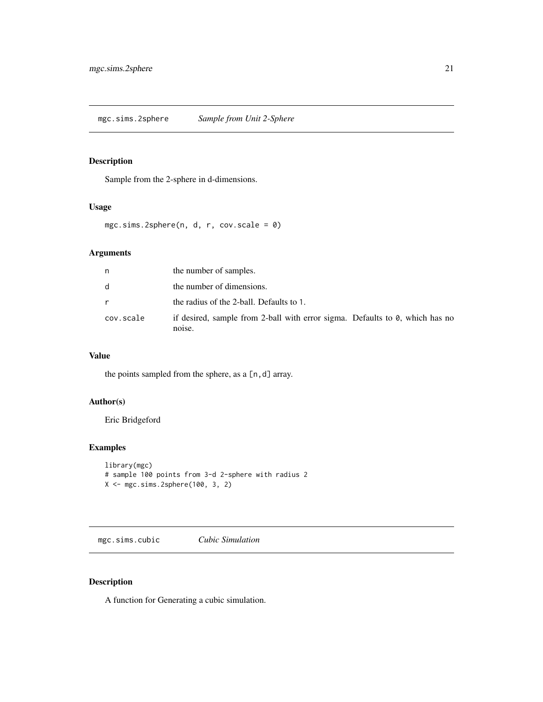# <span id="page-20-0"></span>Description

Sample from the 2-sphere in d-dimensions.

#### Usage

```
mgc.sims.2sphere(n, d, r, cov.scale = 0)
```
# Arguments

| n            | the number of samples.                                                                 |
|--------------|----------------------------------------------------------------------------------------|
| d            | the number of dimensions.                                                              |
| $\mathsf{r}$ | the radius of the 2-ball. Defaults to 1.                                               |
| cov.scale    | if desired, sample from 2-ball with error sigma. Defaults to 0, which has no<br>noise. |

# Value

the points sampled from the sphere, as a [n,d] array.

# Author(s)

Eric Bridgeford

# Examples

```
library(mgc)
# sample 100 points from 3-d 2-sphere with radius 2
X <- mgc.sims.2sphere(100, 3, 2)
```
mgc.sims.cubic *Cubic Simulation*

# Description

A function for Generating a cubic simulation.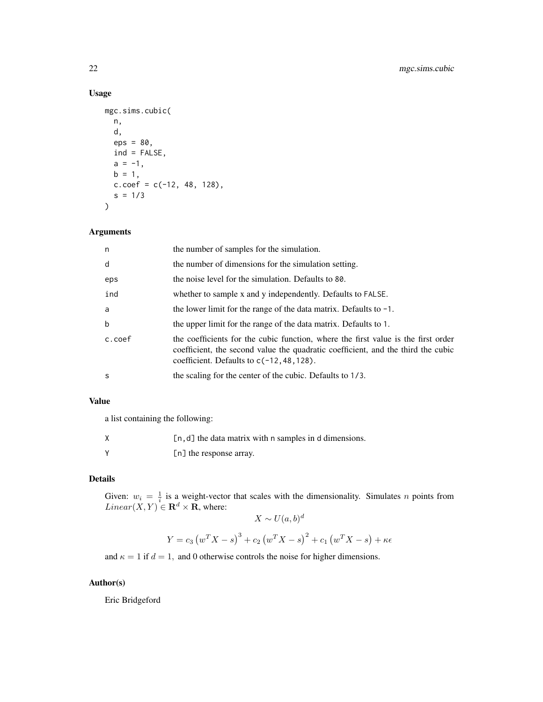# Usage

```
mgc.sims.cubic(
 n,
 d,
 eps = 80,
 ind = FALSE,
 a = -1,
 b = 1,c.\text{coef} = c(-12, 48, 128),s = 1/3)
```
# Arguments

| n      | the number of samples for the simulation.                                                                                                                                                                             |
|--------|-----------------------------------------------------------------------------------------------------------------------------------------------------------------------------------------------------------------------|
| d      | the number of dimensions for the simulation setting.                                                                                                                                                                  |
| eps    | the noise level for the simulation. Defaults to 80.                                                                                                                                                                   |
| ind    | whether to sample x and y independently. Defaults to FALSE.                                                                                                                                                           |
| a      | the lower limit for the range of the data matrix. Defaults to $-1$ .                                                                                                                                                  |
| b      | the upper limit for the range of the data matrix. Defaults to 1.                                                                                                                                                      |
| c.coef | the coefficients for the cubic function, where the first value is the first order<br>coefficient, the second value the quadratic coefficient, and the third the cubic<br>coefficient. Defaults to $c(-12, 48, 128)$ . |
| S      | the scaling for the center of the cubic. Defaults to 1/3.                                                                                                                                                             |

# Value

a list containing the following:

| $[n, d]$ the data matrix with n samples in d dimensions. |
|----------------------------------------------------------|
| [n] the response array.                                  |

# Details

Given:  $w_i = \frac{1}{i}$  is a weight-vector that scales with the dimensionality. Simulates *n* points from  $Linear(X, Y) \in \mathbf{R}^d \times \mathbf{R}$ , where:

$$
X \sim U(a, b)^d
$$

$$
Y = c_3 (w^T X - s)^3 + c_2 (w^T X - s)^2 + c_1 (w^T X - s) + \kappa \epsilon
$$

and  $\kappa = 1$  if  $d = 1$ , and 0 otherwise controls the noise for higher dimensions.

# Author(s)

Eric Bridgeford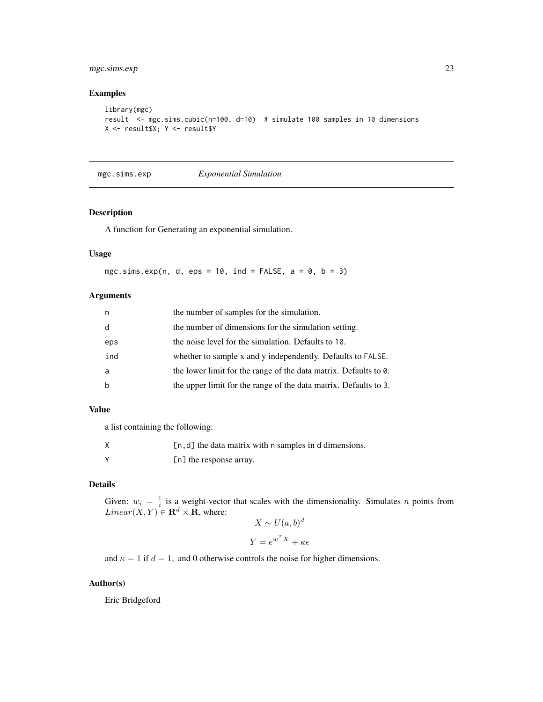# <span id="page-22-0"></span>mgc.sims.exp 23

# Examples

```
library(mgc)
result <- mgc.sims.cubic(n=100, d=10) # simulate 100 samples in 10 dimensions
X <- result$X; Y <- result$Y
```

```
mgc.sims.exp Exponential Simulation
```
#### Description

A function for Generating an exponential simulation.

#### Usage

mgc.sims.exp(n, d, eps = 10, ind = FALSE,  $a = 0$ ,  $b = 3$ )

#### Arguments

| n   | the number of samples for the simulation.                        |
|-----|------------------------------------------------------------------|
| d   | the number of dimensions for the simulation setting.             |
| eps | the noise level for the simulation. Defaults to 10.              |
| ind | whether to sample x and y independently. Defaults to FALSE.      |
| a   | the lower limit for the range of the data matrix. Defaults to 0. |
|     | the upper limit for the range of the data matrix. Defaults to 3. |

# Value

a list containing the following:

| $[n, d]$ the data matrix with n samples in d dimensions. |
|----------------------------------------------------------|
| [n] the response array.                                  |

#### Details

Given:  $w_i = \frac{1}{i}$  is a weight-vector that scales with the dimensionality. Simulates *n* points from  $Linear(X, Y) \in \mathbf{R}^d \times \mathbf{R}$ , where:

$$
X \sim U(a, b)^d
$$

$$
Y = e^{w^T X} + \kappa \epsilon
$$

and  $\kappa = 1$  if  $d = 1$ , and 0 otherwise controls the noise for higher dimensions.

# Author(s)

Eric Bridgeford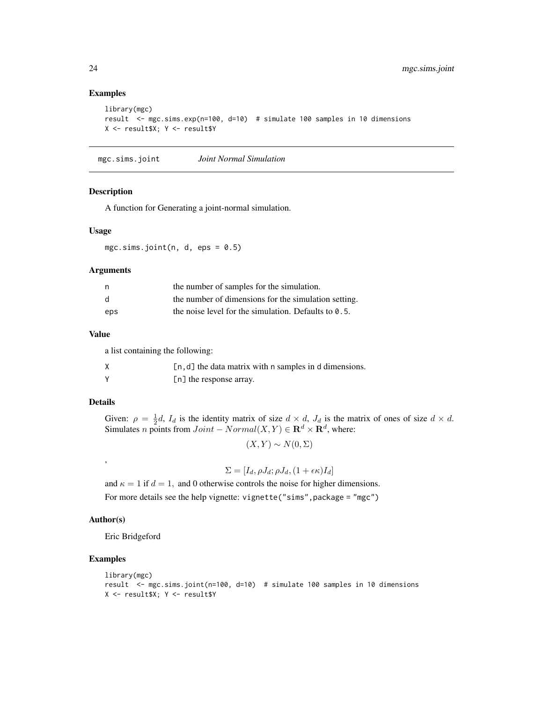#### Examples

```
library(mgc)
result <- mgc.sims.exp(n=100, d=10) # simulate 100 samples in 10 dimensions
X <- result$X; Y <- result$Y
```
mgc.sims.joint *Joint Normal Simulation*

#### Description

A function for Generating a joint-normal simulation.

#### Usage

mgc.sims.joint(n, d, eps =  $0.5$ )

#### Arguments

|     | the number of samples for the simulation.               |
|-----|---------------------------------------------------------|
| - d | the number of dimensions for the simulation setting.    |
| eps | the noise level for the simulation. Defaults to $0.5$ . |

#### Value

a list containing the following:

| $[n, d]$ the data matrix with n samples in d dimensions. |
|----------------------------------------------------------|
| [n] the response array.                                  |

#### Details

Given:  $\rho = \frac{1}{2}d$ ,  $I_d$  is the identity matrix of size  $d \times d$ ,  $J_d$  is the matrix of ones of size  $d \times d$ . Simulates *n* points from  $Joint - Normal(X, Y) \in \mathbb{R}^d \times \mathbb{R}^d$ , where:

$$
(X, Y) \sim N(0, \Sigma)
$$

$$
\Sigma = [I_d, \rho J_d; \rho J_d, (1 + \epsilon \kappa) I_d]
$$

and  $\kappa = 1$  if  $d = 1$ , and 0 otherwise controls the noise for higher dimensions. For more details see the help vignette: vignette("sims",package = "mgc")

#### Author(s)

,

Eric Bridgeford

```
library(mgc)
result <- mgc.sims.joint(n=100, d=10) # simulate 100 samples in 10 dimensions
X <- result$X; Y <- result$Y
```
<span id="page-23-0"></span>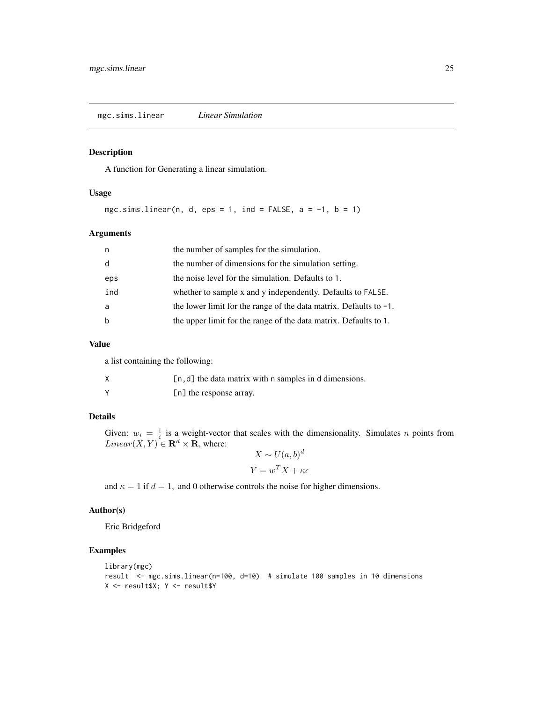<span id="page-24-0"></span>mgc.sims.linear *Linear Simulation*

# Description

A function for Generating a linear simulation.

#### Usage

mgc.sims.linear(n, d, eps = 1, ind = FALSE,  $a = -1$ ,  $b = 1$ )

#### Arguments

| n.  | the number of samples for the simulation.                            |
|-----|----------------------------------------------------------------------|
| d   | the number of dimensions for the simulation setting.                 |
| eps | the noise level for the simulation. Defaults to 1.                   |
| ind | whether to sample x and y independently. Defaults to FALSE.          |
| a   | the lower limit for the range of the data matrix. Defaults to $-1$ . |
| b   | the upper limit for the range of the data matrix. Defaults to 1.     |

#### Value

a list containing the following:

| $[n, d]$ the data matrix with n samples in d dimensions. |
|----------------------------------------------------------|
| [n] the response array.                                  |

#### Details

Given:  $w_i = \frac{1}{i}$  is a weight-vector that scales with the dimensionality. Simulates *n* points from  $Linear(X, Y) \in \mathbf{R}^d \times \mathbf{R}$ , where: d

$$
X \sim U(a, b)^d
$$

$$
Y = w^T X + \kappa \epsilon
$$

and  $\kappa = 1$  if  $d = 1$ , and 0 otherwise controls the noise for higher dimensions.

#### Author(s)

Eric Bridgeford

```
library(mgc)
result <- mgc.sims.linear(n=100, d=10) # simulate 100 samples in 10 dimensions
X <- result$X; Y <- result$Y
```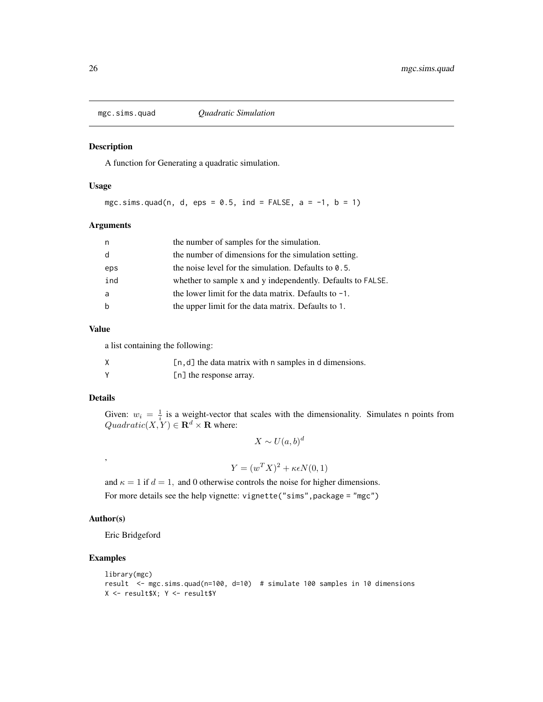<span id="page-25-0"></span>

#### Description

A function for Generating a quadratic simulation.

# Usage

mgc.sims.quad(n, d, eps =  $0.5$ , ind = FALSE, a =  $-1$ , b = 1)

#### Arguments

| n   | the number of samples for the simulation.                   |
|-----|-------------------------------------------------------------|
| d   | the number of dimensions for the simulation setting.        |
| eps | the noise level for the simulation. Defaults to $0.5$ .     |
| ind | whether to sample x and y independently. Defaults to FALSE. |
| a   | the lower limit for the data matrix. Defaults to $-1$ .     |
| b   | the upper limit for the data matrix. Defaults to 1.         |

#### Value

a list containing the following:

| $[n, d]$ the data matrix with n samples in d dimensions. |
|----------------------------------------------------------|
| [n] the response array.                                  |

#### Details

Given:  $w_i = \frac{1}{i}$  is a weight-vector that scales with the dimensionality. Simulates n points from  $Quadratic(X, Y) \in \mathbf{R}^d \times \mathbf{R}$  where:

 $X \sim U(a, b)^d$ 

 $Y = (w^T X)^2 + \kappa \epsilon N(0, 1)$ 

and  $\kappa = 1$  if  $d = 1$ , and 0 otherwise controls the noise for higher dimensions. For more details see the help vignette: vignette("sims",package = "mgc")

#### Author(s)

,

Eric Bridgeford

```
library(mgc)
result <- mgc.sims.quad(n=100, d=10) # simulate 100 samples in 10 dimensions
X <- result$X; Y <- result$Y
```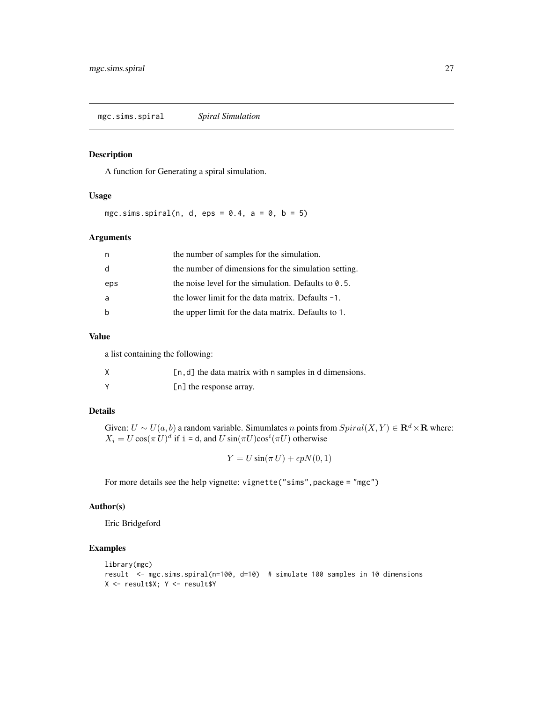<span id="page-26-0"></span>mgc.sims.spiral *Spiral Simulation*

# Description

A function for Generating a spiral simulation.

#### Usage

mgc.sims.spiral(n, d, eps =  $0.4$ , a =  $0$ , b = 5)

#### Arguments

|     | the number of samples for the simulation.               |
|-----|---------------------------------------------------------|
| d   | the number of dimensions for the simulation setting.    |
| eps | the noise level for the simulation. Defaults to $0.5$ . |
| a   | the lower limit for the data matrix. Defaults $-1$ .    |
|     | the upper limit for the data matrix. Defaults to 1.     |

#### Value

a list containing the following:

| $[n, d]$ the data matrix with n samples in d dimensions. |
|----------------------------------------------------------|
| [n] the response array.                                  |

# Details

Given:  $U \sim U(a, b)$  a random variable. Simumlates n points from  $Spiral(X, Y) \in \mathbf{R}^d \times \mathbf{R}$  where:  $X_i = U \cos(\pi U)^d$  if  $i = d$ , and  $U \sin(\pi U) \cos^i(\pi U)$  otherwise

 $Y = U \sin(\pi U) + \epsilon p N(0, 1)$ 

For more details see the help vignette: vignette("sims",package = "mgc")

#### Author(s)

Eric Bridgeford

```
library(mgc)
result <- mgc.sims.spiral(n=100, d=10) # simulate 100 samples in 10 dimensions
X <- result$X; Y <- result$Y
```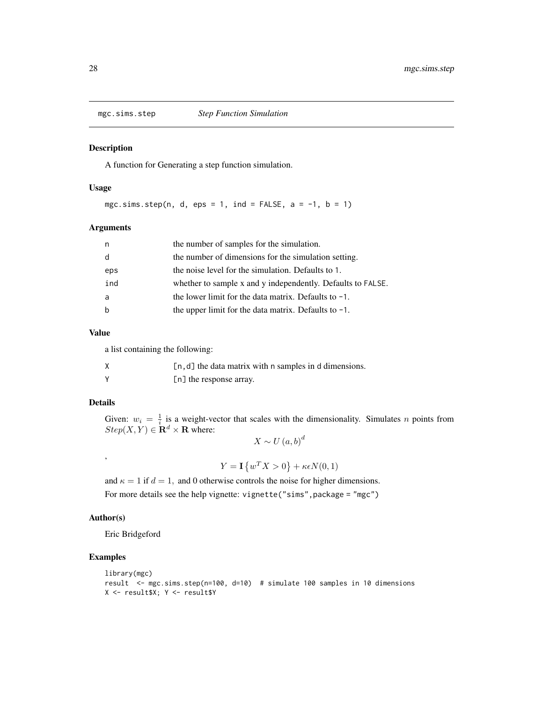<span id="page-27-0"></span>

#### Description

A function for Generating a step function simulation.

#### Usage

mgc.sims.step(n, d, eps = 1, ind = FALSE,  $a = -1$ ,  $b = 1$ )

# Arguments

| n   | the number of samples for the simulation.                   |
|-----|-------------------------------------------------------------|
| d   | the number of dimensions for the simulation setting.        |
| eps | the noise level for the simulation. Defaults to 1.          |
| ind | whether to sample x and y independently. Defaults to FALSE. |
| a   | the lower limit for the data matrix. Defaults to $-1$ .     |
| b   | the upper limit for the data matrix. Defaults to $-1$ .     |

#### Value

a list containing the following:

| $[n, d]$ the data matrix with n samples in d dimensions. |
|----------------------------------------------------------|
| [n] the response array.                                  |

#### Details

Given:  $w_i = \frac{1}{i}$  is a weight-vector that scales with the dimensionality. Simulates *n* points from  $Step(X, Y) \in \mathbf{R}^d \times \mathbf{R}$  where:

 $X \sim U(a, b)^d$ 

 $Y = \mathbf{I} \{ w^T X > 0 \} + \kappa \epsilon N(0,1)$ 

and  $\kappa = 1$  if  $d = 1$ , and 0 otherwise controls the noise for higher dimensions. For more details see the help vignette: vignette("sims", package = "mgc")

# Author(s)

,

Eric Bridgeford

```
library(mgc)
result <- mgc.sims.step(n=100, d=10) # simulate 100 samples in 10 dimensions
X <- result$X; Y <- result$Y
```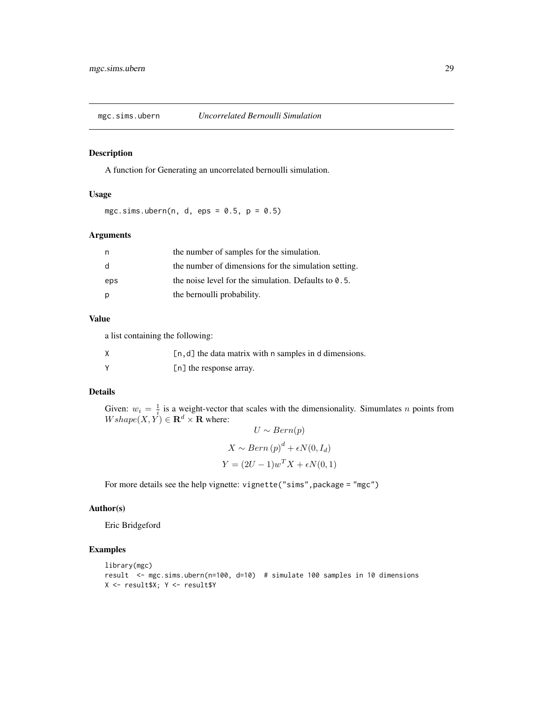<span id="page-28-0"></span>

#### Description

A function for Generating an uncorrelated bernoulli simulation.

#### Usage

mgc.sims.ubern(n, d, eps =  $0.5$ , p =  $0.5$ )

#### Arguments

| n   | the number of samples for the simulation.               |
|-----|---------------------------------------------------------|
| - d | the number of dimensions for the simulation setting.    |
| eps | the noise level for the simulation. Defaults to $0.5$ . |
| p   | the bernoulli probability.                              |

#### Value

a list containing the following:

| $[n, d]$ the data matrix with n samples in d dimensions. |
|----------------------------------------------------------|
| [n] the response array.                                  |

# Details

Given:  $w_i = \frac{1}{i}$  is a weight-vector that scales with the dimensionality. Simumlates n points from  $Wshape(X, Y) \in \mathbf{R}^d \times \mathbf{R}$  where:

$$
U \sim Bern(p)
$$
  

$$
X \sim Bern(p)^{d} + \epsilon N(0, I_{d})
$$
  

$$
Y = (2U - 1)w^{T}X + \epsilon N(0, 1)
$$

For more details see the help vignette: vignette("sims",package = "mgc")

#### Author(s)

Eric Bridgeford

```
library(mgc)
result <- mgc.sims.ubern(n=100, d=10) # simulate 100 samples in 10 dimensions
X <- result$X; Y <- result$Y
```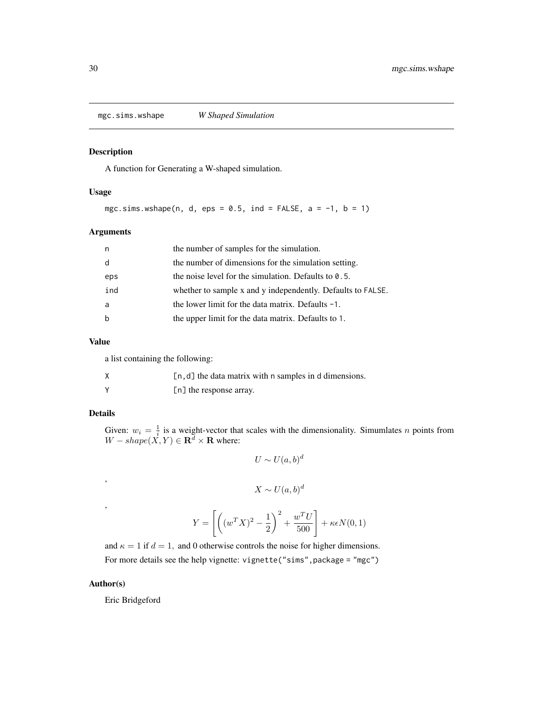<span id="page-29-0"></span>mgc.sims.wshape *W Shaped Simulation*

# Description

A function for Generating a W-shaped simulation.

#### Usage

mgc.sims.wshape(n, d, eps =  $0.5$ , ind = FALSE, a = -1, b = 1)

# Arguments

| n   | the number of samples for the simulation.                   |
|-----|-------------------------------------------------------------|
| d   | the number of dimensions for the simulation setting.        |
| eps | the noise level for the simulation. Defaults to $0.5$ .     |
| ind | whether to sample x and y independently. Defaults to FALSE. |
| a   | the lower limit for the data matrix. Defaults $-1$ .        |
| b   | the upper limit for the data matrix. Defaults to 1.         |

#### Value

a list containing the following:

| $[n, d]$ the data matrix with n samples in d dimensions. |
|----------------------------------------------------------|
| [n] the response array.                                  |

# Details

,

,

Given:  $w_i = \frac{1}{i}$  is a weight-vector that scales with the dimensionality. Simumlates n points from  $W - shape(X, Y) \in \mathbf{R}^d \times \mathbf{R}$  where:

$$
U \sim U(a, b)^d
$$

$$
X \sim U(a, b)^d
$$

$$
Y = \left[ \left( (w^T X)^2 - \frac{1}{2} \right)^2 + \frac{w^T U}{500} \right] + \kappa \epsilon N(0, 1)
$$

and  $\kappa = 1$  if  $d = 1$ , and 0 otherwise controls the noise for higher dimensions. For more details see the help vignette: vignette("sims",package = "mgc")

# Author(s)

Eric Bridgeford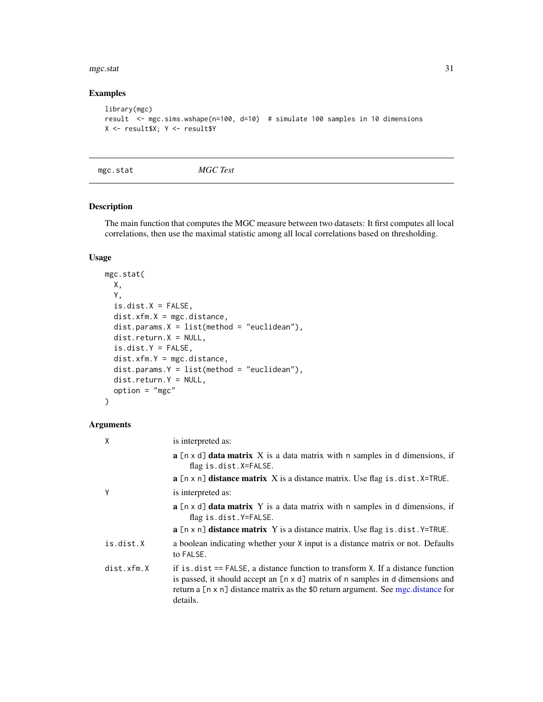#### <span id="page-30-0"></span>mgc.stat 31

#### Examples

```
library(mgc)
result <- mgc.sims.wshape(n=100, d=10) # simulate 100 samples in 10 dimensions
X <- result$X; Y <- result$Y
```
mgc.stat *MGC Test*

#### Description

The main function that computes the MGC measure between two datasets: It first computes all local correlations, then use the maximal statistic among all local correlations based on thresholding.

# Usage

```
mgc.stat(
 X,
 Y,
 is.dist.X = FALSE,dist.xfm.X = mgc.distance,
 dist.params.X = list(method = "euclidean"),dist.return.X = NULL,
  is.dist.Y = FALSE,dist.xfm.Y = mgc.distance,
  dist.params.Y = list(method = "euclidean"),
 dist.return.Y = NULL,
  option = "mgc")
```

| X          | is interpreted as:                                                                                                                                                                                                                                                             |
|------------|--------------------------------------------------------------------------------------------------------------------------------------------------------------------------------------------------------------------------------------------------------------------------------|
|            | <b>a</b> $[n \times d]$ <b>data matrix</b> X is a data matrix with n samples in d dimensions, if<br>flag is.dist.X=FALSE.                                                                                                                                                      |
|            | <b>a</b> $[n \times n]$ <b>distance matrix</b> X is a distance matrix. Use flag is $\ldots$ dist. X=TRUE.                                                                                                                                                                      |
| Υ          | is interpreted as:                                                                                                                                                                                                                                                             |
|            | $\bf{a}$ [n x d] <b>data matrix</b> Y is a data matrix with n samples in d dimensions, if<br>flag is.dist.Y=FALSE.                                                                                                                                                             |
|            | $\bf{a}$ [n x n] <b>distance matrix</b> Y is a distance matrix. Use flag is dist. Y=TRUE.                                                                                                                                                                                      |
| is.dist.X  | a boolean indicating whether your X input is a distance matrix or not. Defaults<br>to FALSE.                                                                                                                                                                                   |
| dist.xfm.X | if is $dist ==$ FALSE, a distance function to transform $X$ . If a distance function<br>is passed, it should accept an $[n \times d]$ matrix of n samples in d dimensions and<br>return a [n x n] distance matrix as the \$D return argument. See mgc.distance for<br>details. |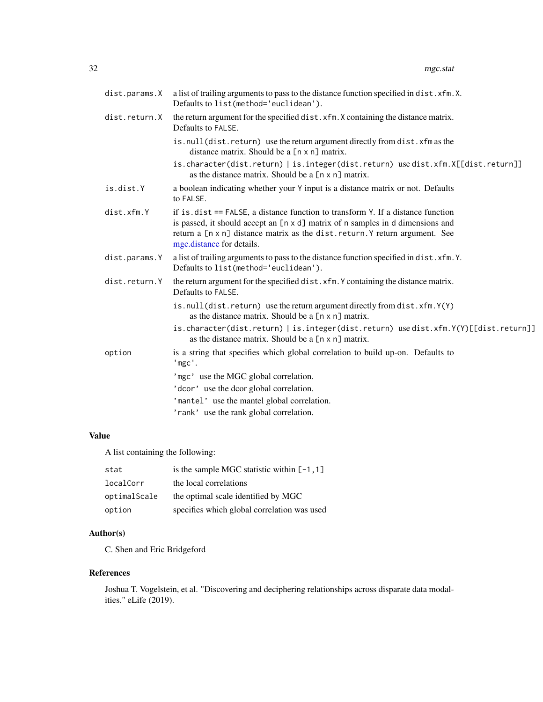<span id="page-31-0"></span>

| dist.params.X | a list of trailing arguments to pass to the distance function specified in dist. xfm.X.<br>Defaults to list(method='euclidean').                                                                                                                                                 |
|---------------|----------------------------------------------------------------------------------------------------------------------------------------------------------------------------------------------------------------------------------------------------------------------------------|
| dist.return.X | the return argument for the specified dist. xfm. X containing the distance matrix.<br>Defaults to FALSE.                                                                                                                                                                         |
|               | is.null(dist.return) use the return argument directly from dist.xfm as the<br>distance matrix. Should be a [n x n] matrix.                                                                                                                                                       |
|               | is.character(dist.return)   is.integer(dist.return) use dist.xfm.X[[dist.return]]<br>as the distance matrix. Should be a [n x n] matrix.                                                                                                                                         |
| is.dist.Y     | a boolean indicating whether your Y input is a distance matrix or not. Defaults<br>to FALSE.                                                                                                                                                                                     |
| dist.xfm.Y    | if is $dist ==$ FALSE, a distance function to transform Y. If a distance function<br>is passed, it should accept an [n x d] matrix of n samples in d dimensions and<br>return a [n x n] distance matrix as the dist. return. Y return argument. See<br>mgc.distance for details. |
| dist.params.Y | a list of trailing arguments to pass to the distance function specified in dist. xfm.Y.<br>Defaults to list(method='euclidean').                                                                                                                                                 |
| dist.return.Y | the return argument for the specified dist. xfm. Y containing the distance matrix.<br>Defaults to FALSE.                                                                                                                                                                         |
|               | is.null(dist.return) use the return argument directly from dist.xfm.Y(Y)<br>as the distance matrix. Should be a [n x n] matrix.                                                                                                                                                  |
|               | is.character(dist.return)   is.integer(dist.return) use dist.xfm.Y(Y)[[dist.return]]<br>as the distance matrix. Should be a [n x n] matrix.                                                                                                                                      |
| option        | is a string that specifies which global correlation to build up-on. Defaults to<br>'mgc'.                                                                                                                                                                                        |
|               | 'mgc' use the MGC global correlation.                                                                                                                                                                                                                                            |
|               | 'dcor' use the dcor global correlation.                                                                                                                                                                                                                                          |
|               | 'mantel' use the mantel global correlation.                                                                                                                                                                                                                                      |
|               | 'rank' use the rank global correlation.                                                                                                                                                                                                                                          |

# Value

A list containing the following:

| stat         | is the sample MGC statistic within $[-1, 1]$ |
|--------------|----------------------------------------------|
| localCorr    | the local correlations                       |
| optimalScale | the optimal scale identified by MGC          |
| option       | specifies which global correlation was used  |

# Author(s)

C. Shen and Eric Bridgeford

# References

Joshua T. Vogelstein, et al. "Discovering and deciphering relationships across disparate data modalities." eLife (2019).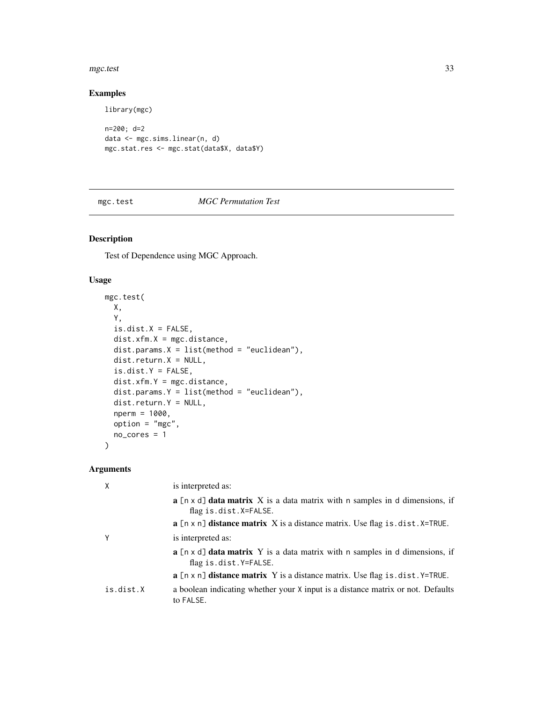#### <span id="page-32-0"></span>mgc.test 33

# Examples

library(mgc)

```
n=200; d=2
data <- mgc.sims.linear(n, d)
mgc.stat.res <- mgc.stat(data$X, data$Y)
```
#### <span id="page-32-1"></span>mgc.test *MGC Permutation Test*

# Description

Test of Dependence using MGC Approach.

# Usage

```
mgc.test(
 X,
 Y,
 is.dist.X = FALSE,dist.xfm.X = mgc.distance,dist.params.X = list(method = "euclidean"),dist.return.X = NULL,
  is.dist.Y = FALSE,
 dist.xfm.Y = mgc.distance,
 dist.params.Y = list(method = "euclidean"),
 dist.return.Y = NULL,
 nperm = 1000,
 option = "mgc",
 no_cores = 1
)
```

| χ         | is interpreted as:                                                                                                        |
|-----------|---------------------------------------------------------------------------------------------------------------------------|
|           | <b>a</b> $[n \times d]$ <b>data matrix</b> X is a data matrix with n samples in d dimensions, if<br>flag is.dist.X=FALSE. |
|           | $\mathbf{a}$ [n x n] <b>distance matrix</b> X is a distance matrix. Use flag is dist. X=TRUE.                             |
| v         | is interpreted as:                                                                                                        |
|           | $\bf{a}$ [n x d] <b>data matrix</b> Y is a data matrix with n samples in d dimensions, if<br>flag is.dist.Y=FALSE.        |
|           | $\mathbf{a}$ [n x n] <b>distance matrix</b> Y is a distance matrix. Use flag is $\cdot$ dist. Y=TRUE.                     |
| is.dist.X | a boolean indicating whether your X input is a distance matrix or not. Defaults<br>to FALSE.                              |
|           |                                                                                                                           |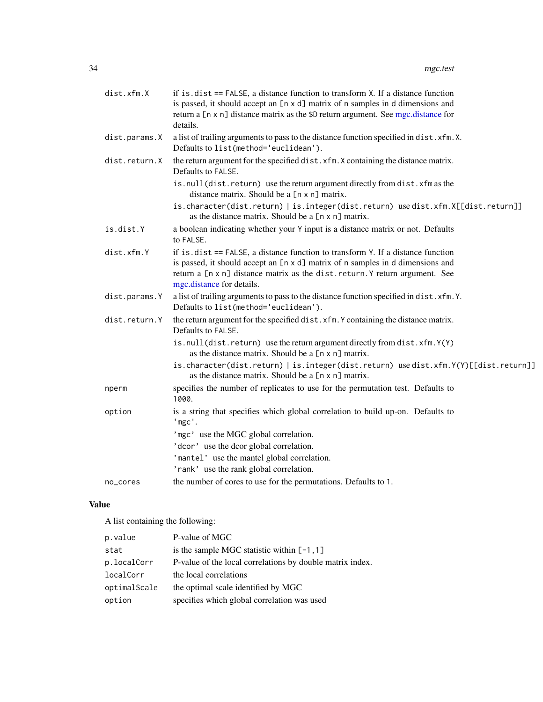<span id="page-33-0"></span>

| dist.xfm.X    | if is $dist ==$ FALSE, a distance function to transform $X$ . If a distance function<br>is passed, it should accept an [n x d] matrix of n samples in d dimensions and<br>return a [n x n] distance matrix as the \$D return argument. See mgc.distance for<br>details.        |
|---------------|--------------------------------------------------------------------------------------------------------------------------------------------------------------------------------------------------------------------------------------------------------------------------------|
| dist.params.X | a list of trailing arguments to pass to the distance function specified in dist. xfm.X.<br>Defaults to list(method='euclidean').                                                                                                                                               |
| dist.return.X | the return argument for the specified dist. xfm. X containing the distance matrix.<br>Defaults to FALSE.                                                                                                                                                                       |
|               | is.null(dist.return) use the return argument directly from dist.xfm as the<br>distance matrix. Should be a [n x n] matrix.                                                                                                                                                     |
|               | is.character(dist.return)   is.integer(dist.return) use dist.xfm.X[[dist.return]]<br>as the distance matrix. Should be a [n x n] matrix.                                                                                                                                       |
| is.dist.Y     | a boolean indicating whether your Y input is a distance matrix or not. Defaults<br>to FALSE.                                                                                                                                                                                   |
| dist.xfm.Y    | if is $dist ==$ FALSE, a distance function to transform Y. If a distance function<br>is passed, it should accept an [n x d] matrix of n samples in d dimensions and<br>return a [n x n] distance matrix as the dist.return.Y return argument. See<br>mgc.distance for details. |
| dist.params.Y | a list of trailing arguments to pass to the distance function specified in dist.xfm.Y.<br>Defaults to list(method='euclidean').                                                                                                                                                |
| dist.return.Y | the return argument for the specified dist. xfm. Y containing the distance matrix.<br>Defaults to FALSE.                                                                                                                                                                       |
|               | is.null(dist.return) use the return argument directly from dist.xfm.Y(Y)<br>as the distance matrix. Should be a [n x n] matrix.                                                                                                                                                |
|               | is.character(dist.return)   is.integer(dist.return) use dist.xfm.Y(Y)[[dist.return]]<br>as the distance matrix. Should be a [n x n] matrix.                                                                                                                                    |
| nperm         | specifies the number of replicates to use for the permutation test. Defaults to<br>1000.                                                                                                                                                                                       |
| option        | is a string that specifies which global correlation to build up-on. Defaults to<br>'mgc'.                                                                                                                                                                                      |
|               | 'mgc' use the MGC global correlation.                                                                                                                                                                                                                                          |
|               | 'dcor' use the dcor global correlation.                                                                                                                                                                                                                                        |
|               | 'mantel' use the mantel global correlation.                                                                                                                                                                                                                                    |
|               | 'rank' use the rank global correlation.                                                                                                                                                                                                                                        |
| no_cores      | the number of cores to use for the permutations. Defaults to 1.                                                                                                                                                                                                                |

# Value

A list containing the following:

| p.value      | P-value of MGC                                            |
|--------------|-----------------------------------------------------------|
| stat         | is the sample MGC statistic within $[-1, 1]$              |
| p.localCorr  | P-value of the local correlations by double matrix index. |
| localCorr    | the local correlations                                    |
| optimalScale | the optimal scale identified by MGC                       |
| option       | specifies which global correlation was used               |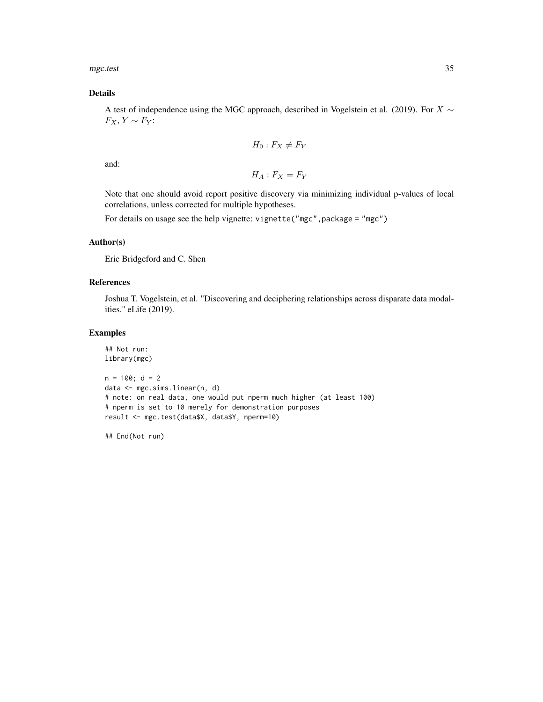mgc.test 35

#### Details

A test of independence using the MGC approach, described in Vogelstein et al. (2019). For  $X \sim$  $F_X, Y \sim F_Y$ :

$$
H_0: F_X \neq F_Y
$$

and:

 $H_A$ :  $F_X = F_Y$ 

Note that one should avoid report positive discovery via minimizing individual p-values of local correlations, unless corrected for multiple hypotheses.

For details on usage see the help vignette: vignette("mgc",package = "mgc")

#### Author(s)

Eric Bridgeford and C. Shen

#### References

Joshua T. Vogelstein, et al. "Discovering and deciphering relationships across disparate data modalities." eLife (2019).

#### Examples

```
## Not run:
library(mgc)
n = 100; d = 2data <- mgc.sims.linear(n, d)
# note: on real data, one would put nperm much higher (at least 100)
# nperm is set to 10 merely for demonstration purposes
result <- mgc.test(data$X, data$Y, nperm=10)
```
## End(Not run)